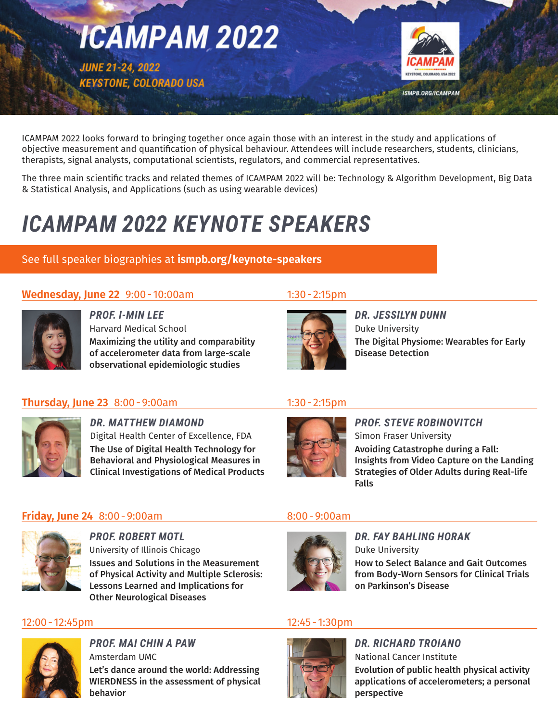

ICAMPAM 2022 looks forward to bringing together once again those with an interest in the study and applications of objective measurement and quantification of physical behaviour. Attendees will include researchers, students, clinicians, therapists, signal analysts, computational scientists, regulators, and commercial representatives.

The three main scientific tracks and related themes of ICAMPAM 2022 will be: Technology & Algorithm Development, Big Data & Statistical Analysis, and Applications (such as using wearable devices)

# *ICAMPAM 2022 KEYNOTE SPEAKERS*

## See full speaker biographies at **[ismpb.org/keynote-speakers](https://ismpb.org/keynote-speakers/)**

## **Wednesday, June 22** 9:00 - 10:00am 1:30 - 2:15pm



*PROF. I-MIN LEE* Harvard Medical School Maximizing the utility and comparability of accelerometer data from large-scale observational epidemiologic studies



*DR. JESSILYN DUNN*  Duke University The Digital Physiome: Wearables for Early Disease Detection

## **Thursday, June 23** 8:00 - 9:00am 1:30 - 2:15pm



*DR. MATTHEW DIAMOND*  Digital Health Center of Excellence, FDA The Use of Digital Health Technology for Behavioral and Physiological Measures in Clinical Investigations of Medical Products



*PROF. STEVE ROBINOVITCH* Simon Fraser University

Avoiding Catastrophe during a Fall: Insights from Video Capture on the Landing Strategies of Older Adults during Real-life Falls

## **Friday, June 24** 8:00 - 9:00am 8:00 - 9:00am



*PROF. ROBERT MOTL* University of Illinois Chicago Issues and Solutions in the Measurement of Physical Activity and Multiple Sclerosis: Lessons Learned and Implications for Other Neurological Diseases

### 12:00- 12:45pm 12:45- 1:30pm



*PROF. MAI CHIN A PAW* Amsterdam UMC Let's dance around the world: Addressing WIERDNESS in the assessment of physical behavior



*DR. FAY BAHLING HORAK* Duke University

How to Select Balance and Gait Outcomes from Body-Worn Sensors for Clinical Trials on Parkinson's Disease



*DR. RICHARD TROIANO* National Cancer Institute Evolution of public health physical activity applications of accelerometers; a personal perspective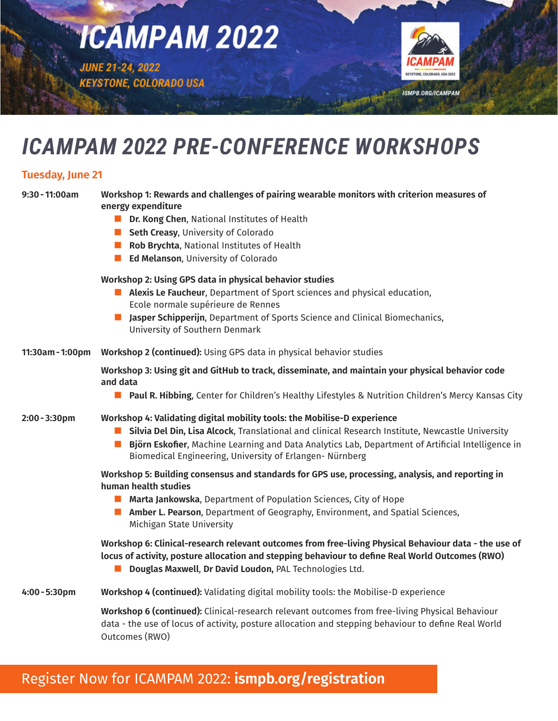

# *ICAMPAM 2022 PRE-CONFERENCE WORKSHOPS*

### **Tuesday, June 21**

| $9:30 - 11:00am$ | Workshop 1: Rewards and challenges of pairing wearable monitors with criterion measures of<br>energy expenditure                                                                                                                                                        |
|------------------|-------------------------------------------------------------------------------------------------------------------------------------------------------------------------------------------------------------------------------------------------------------------------|
|                  | <b>Dr. Kong Chen, National Institutes of Health</b>                                                                                                                                                                                                                     |
|                  | Seth Creasy, University of Colorado                                                                                                                                                                                                                                     |
|                  | Rob Brychta, National Institutes of Health                                                                                                                                                                                                                              |
|                  | <b>Ed Melanson</b> , University of Colorado                                                                                                                                                                                                                             |
|                  | Workshop 2: Using GPS data in physical behavior studies                                                                                                                                                                                                                 |
|                  | Alexis Le Faucheur, Department of Sport sciences and physical education,                                                                                                                                                                                                |
|                  | Ecole normale supérieure de Rennes                                                                                                                                                                                                                                      |
|                  | Jasper Schipperijn, Department of Sports Science and Clinical Biomechanics,<br>University of Southern Denmark                                                                                                                                                           |
| 11:30am - 1:00pm | Workshop 2 (continued): Using GPS data in physical behavior studies                                                                                                                                                                                                     |
|                  | Workshop 3: Using git and GitHub to track, disseminate, and maintain your physical behavior code<br>and data                                                                                                                                                            |
|                  | <b>D</b> Paul R. Hibbing, Center for Children's Healthy Lifestyles & Nutrition Children's Mercy Kansas City                                                                                                                                                             |
| $2:00 - 3:30$ pm | Workshop 4: Validating digital mobility tools: the Mobilise-D experience                                                                                                                                                                                                |
|                  | Silvia Del Din, Lisa Alcock, Translational and clinical Research Institute, Newcastle University<br><b>Björn Eskofier, Machine Learning and Data Analytics Lab, Department of Artificial Intelligence in</b><br>Biomedical Engineering, University of Erlangen-Nürnberg |
|                  | Workshop 5: Building consensus and standards for GPS use, processing, analysis, and reporting in<br>human health studies                                                                                                                                                |
|                  | Marta Jankowska, Department of Population Sciences, City of Hope                                                                                                                                                                                                        |
|                  | Amber L. Pearson, Department of Geography, Environment, and Spatial Sciences,<br>Michigan State University                                                                                                                                                              |
|                  | Workshop 6: Clinical-research relevant outcomes from free-living Physical Behaviour data - the use of<br>locus of activity, posture allocation and stepping behaviour to define Real World Outcomes (RWO)<br>Douglas Maxwell, Dr David Loudon, PAL Technologies Ltd.    |
| $4:00 - 5:30$ pm | Workshop 4 (continued): Validating digital mobility tools: the Mobilise-D experience                                                                                                                                                                                    |
|                  | Workshop 6 (continued): Clinical-research relevant outcomes from free-living Physical Behaviour<br>data - the use of locus of activity, posture allocation and stepping behaviour to define Real World<br>Outcomes (RWO)                                                |

## Register Now for ICAMPAM 2022: **[ismpb.org/registration](https://ismpb.org/registration/)**